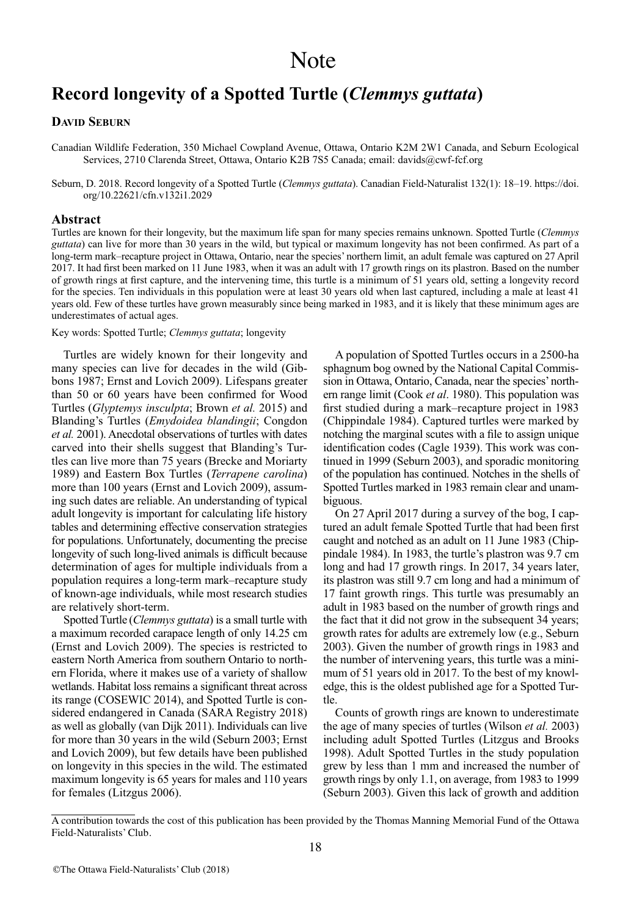# **Record longevity of a Spotted Turtle (***Clemmys guttata***)**

## **DAVID SEBURN**

Canadian Wildlife Federation, 350 Michael Cowpland Avenue, Ottawa, Ontario K2M 2W1 Canada, and Seburn Ecological Services, 2710 Clarenda Street, Ottawa, Ontario K2B 7S5 Canada; email: davids@cwf-fcf.org

Seburn, D. 2018. Record longevity of a Spotted Turtle (*Clemmys guttata*). Canadian Field-Naturalist 132(1): 18–19. [https://doi.](https://doi.org/10.22621/cfn.v132i1.2029) [org/10.22621/cfn.v132i1.2029](https://doi.org/10.22621/cfn.v132i1.2029)

### **Abstract**

Turtles are known for their longevity, but the maximum life span for many species remains unknown. Spotted Turtle (*Clemmys guttata*) can live for more than 30 years in the wild, but typical or maximum longevity has not been confirmed. As part of a long-term mark–recapture project in Ottawa, Ontario, near the species' northern limit, an adult female was captured on 27 April 2017. It had first been marked on 11 June 1983, when it was an adult with 17 growth rings on its plastron. Based on the number of growth rings at first capture, and the intervening time, this turtle is a minimum of 51 years old, setting a longevity record for the species. Ten individuals in this population were at least 30 years old when last captured, including a male at least 41 years old. Few of these turtles have grown measurably since being marked in 1983, and it is likely that these minimum ages are underestimates of actual ages.

#### Key words: Spotted Turtle; *Clemmys guttata*; longevity

Turtles are widely known for their longevity and many species can live for decades in the wild (Gibbons 1987; Ernst and Lovich 2009). Lifespans greater than 50 or 60 years have been confirmed for Wood Turtles (*Glyptemys insculpta*; Brown *et al.* 2015) and Blanding's Turtles (*Emydoidea blandingii*; Congdon *et al.* 2001). Anecdotal observations of turtles with dates carved into their shells suggest that Blanding's Turtles can live more than 75 years (Brecke and Moriarty 1989) and Eastern Box Turtles (*Terrapene carolina*) more than 100 years (Ernst and Lovich 2009), assuming such dates are reliable. An understanding of typical adult longevity is important for calculating life history tables and determining effective conservation strategies for populations. Unfortunately, documenting the precise longevity of such long-lived animals is difficult because determination of ages for multiple individuals from a population requires a long-term mark–recapture study of known-age individuals, while most research studies are relatively short-term.

SpottedTurtle (*Clemmys guttata*) is a small turtle with a maximum recorded carapace length of only 14.25 cm (Ernst and Lovich 2009). The species is restricted to eastern North America from southern Ontario to northern Florida, where it makes use of a variety of shallow wetlands. Habitat loss remains a significant threat across its range (COSEWIC 2014), and Spotted Turtle is considered endangered in Canada (SARA Registry 2018) as well as globally (van Dijk 2011). Individuals can live for more than 30 years in the wild (Seburn 2003; Ernst and Lovich 2009), but few details have been published on longevity in this species in the wild. The estimated maximum longevity is 65 years for males and 110 years for females (Litzgus 2006).

A population of Spotted Turtles occurs in a 2500-ha sphagnum bog owned by the National Capital Commission in Ottawa, Ontario, Canada, near the species'northern range limit (Cook *et al*. 1980). This population was first studied during a mark–recapture project in 1983 (Chippindale 1984). Captured turtles were marked by notching the marginal scutes with a file to assign unique identification codes (Cagle 1939). This work was continued in 1999 (Seburn 2003), and sporadic monitoring of the population has continued. Notches in the shells of Spotted Turtles marked in 1983 remain clear and unambiguous.

On 27 April 2017 during a survey of the bog, I captured an adult female Spotted Turtle that had been first caught and notched as an adult on 11 June 1983 (Chippindale 1984). In 1983, the turtle's plastron was 9.7 cm long and had 17 growth rings. In 2017, 34 years later, its plastron was still 9.7 cm long and had a minimum of 17 faint growth rings. This turtle was presumably an adult in 1983 based on the number of growth rings and the fact that it did not grow in the subsequent 34 years; growth rates for adults are extremely low (e.g., Seburn 2003). Given the number of growth rings in 1983 and the number of intervening years, this turtle was a minimum of 51 years old in 2017. To the best of my knowledge, this is the oldest published age for a Spotted Turtle.

Counts of growth rings are known to underestimate the age of many species of turtles (Wilson *et al.* 2003) including adult Spotted Turtles (Litzgus and Brooks 1998). Adult Spotted Turtles in the study population grew by less than 1 mm and increased the number of growth rings by only 1.1, on average, from 1983 to 1999 (Seburn 2003). Given this lack of growth and addition

A contribution towards the cost of this publication has been provided by the Thomas Manning Memorial Fund of the Ottawa Field-Naturalists' Club.